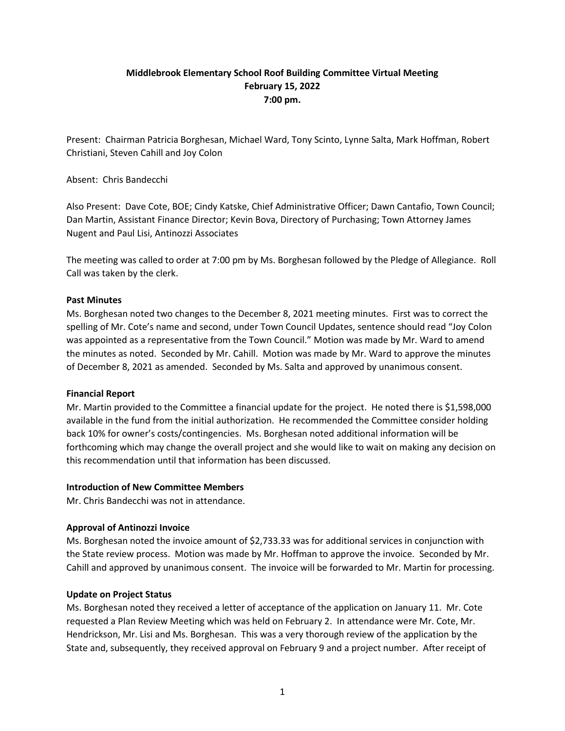# **Middlebrook Elementary School Roof Building Committee Virtual Meeting February 15, 2022 7:00 pm.**

Present: Chairman Patricia Borghesan, Michael Ward, Tony Scinto, Lynne Salta, Mark Hoffman, Robert Christiani, Steven Cahill and Joy Colon

Absent: Chris Bandecchi

Also Present: Dave Cote, BOE; Cindy Katske, Chief Administrative Officer; Dawn Cantafio, Town Council; Dan Martin, Assistant Finance Director; Kevin Bova, Directory of Purchasing; Town Attorney James Nugent and Paul Lisi, Antinozzi Associates

The meeting was called to order at 7:00 pm by Ms. Borghesan followed by the Pledge of Allegiance. Roll Call was taken by the clerk.

#### **Past Minutes**

Ms. Borghesan noted two changes to the December 8, 2021 meeting minutes. First was to correct the spelling of Mr. Cote's name and second, under Town Council Updates, sentence should read "Joy Colon was appointed as a representative from the Town Council." Motion was made by Mr. Ward to amend the minutes as noted. Seconded by Mr. Cahill. Motion was made by Mr. Ward to approve the minutes of December 8, 2021 as amended. Seconded by Ms. Salta and approved by unanimous consent.

## **Financial Report**

Mr. Martin provided to the Committee a financial update for the project. He noted there is \$1,598,000 available in the fund from the initial authorization. He recommended the Committee consider holding back 10% for owner's costs/contingencies. Ms. Borghesan noted additional information will be forthcoming which may change the overall project and she would like to wait on making any decision on this recommendation until that information has been discussed.

#### **Introduction of New Committee Members**

Mr. Chris Bandecchi was not in attendance.

## **Approval of Antinozzi Invoice**

Ms. Borghesan noted the invoice amount of \$2,733.33 was for additional services in conjunction with the State review process. Motion was made by Mr. Hoffman to approve the invoice. Seconded by Mr. Cahill and approved by unanimous consent. The invoice will be forwarded to Mr. Martin for processing.

## **Update on Project Status**

Ms. Borghesan noted they received a letter of acceptance of the application on January 11. Mr. Cote requested a Plan Review Meeting which was held on February 2. In attendance were Mr. Cote, Mr. Hendrickson, Mr. Lisi and Ms. Borghesan. This was a very thorough review of the application by the State and, subsequently, they received approval on February 9 and a project number. After receipt of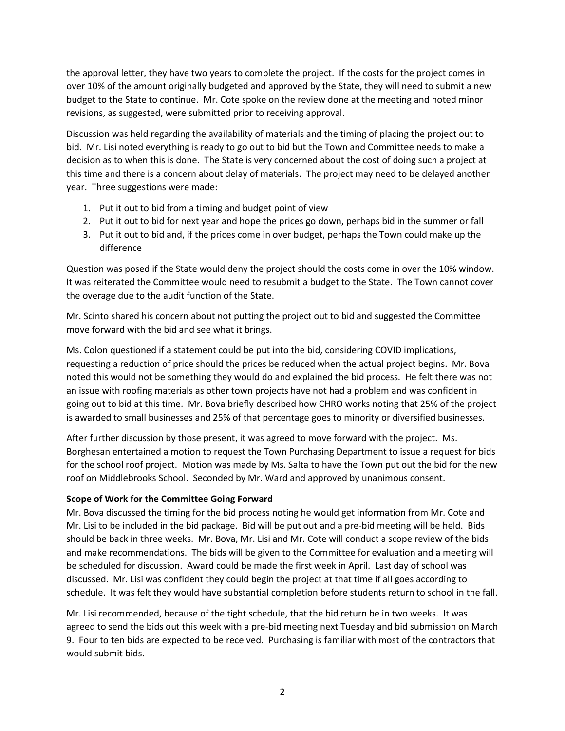the approval letter, they have two years to complete the project. If the costs for the project comes in over 10% of the amount originally budgeted and approved by the State, they will need to submit a new budget to the State to continue. Mr. Cote spoke on the review done at the meeting and noted minor revisions, as suggested, were submitted prior to receiving approval.

Discussion was held regarding the availability of materials and the timing of placing the project out to bid. Mr. Lisi noted everything is ready to go out to bid but the Town and Committee needs to make a decision as to when this is done. The State is very concerned about the cost of doing such a project at this time and there is a concern about delay of materials. The project may need to be delayed another year. Three suggestions were made:

- 1. Put it out to bid from a timing and budget point of view
- 2. Put it out to bid for next year and hope the prices go down, perhaps bid in the summer or fall
- 3. Put it out to bid and, if the prices come in over budget, perhaps the Town could make up the difference

Question was posed if the State would deny the project should the costs come in over the 10% window. It was reiterated the Committee would need to resubmit a budget to the State. The Town cannot cover the overage due to the audit function of the State.

Mr. Scinto shared his concern about not putting the project out to bid and suggested the Committee move forward with the bid and see what it brings.

Ms. Colon questioned if a statement could be put into the bid, considering COVID implications, requesting a reduction of price should the prices be reduced when the actual project begins. Mr. Bova noted this would not be something they would do and explained the bid process. He felt there was not an issue with roofing materials as other town projects have not had a problem and was confident in going out to bid at this time. Mr. Bova briefly described how CHRO works noting that 25% of the project is awarded to small businesses and 25% of that percentage goes to minority or diversified businesses.

After further discussion by those present, it was agreed to move forward with the project. Ms. Borghesan entertained a motion to request the Town Purchasing Department to issue a request for bids for the school roof project. Motion was made by Ms. Salta to have the Town put out the bid for the new roof on Middlebrooks School. Seconded by Mr. Ward and approved by unanimous consent.

## **Scope of Work for the Committee Going Forward**

Mr. Bova discussed the timing for the bid process noting he would get information from Mr. Cote and Mr. Lisi to be included in the bid package. Bid will be put out and a pre-bid meeting will be held. Bids should be back in three weeks. Mr. Bova, Mr. Lisi and Mr. Cote will conduct a scope review of the bids and make recommendations. The bids will be given to the Committee for evaluation and a meeting will be scheduled for discussion. Award could be made the first week in April. Last day of school was discussed. Mr. Lisi was confident they could begin the project at that time if all goes according to schedule. It was felt they would have substantial completion before students return to school in the fall.

Mr. Lisi recommended, because of the tight schedule, that the bid return be in two weeks. It was agreed to send the bids out this week with a pre-bid meeting next Tuesday and bid submission on March 9. Four to ten bids are expected to be received. Purchasing is familiar with most of the contractors that would submit bids.